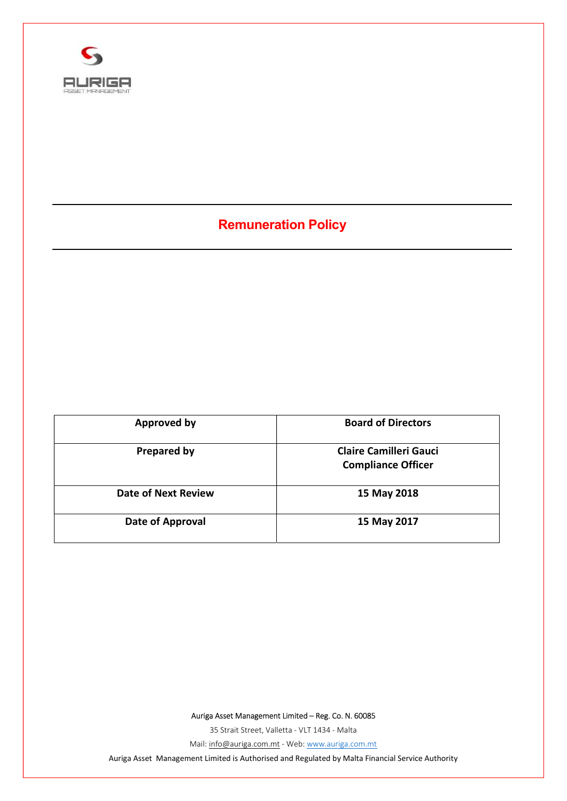

# Remuneration Policy

| Approved by                | <b>Board of Directors</b>                                  |
|----------------------------|------------------------------------------------------------|
| <b>Prepared by</b>         | <b>Claire Camilleri Gauci</b><br><b>Compliance Officer</b> |
| <b>Date of Next Review</b> | 15 May 2018                                                |
| Date of Approval           | 15 May 2017                                                |

Auriga Asset Management Limited – Reg. Co. N. 60085

35 Strait Street, Valletta - VLT 1434 - Malta

Mail: info@auriga.com.mt - Web: www.auriga.com.mt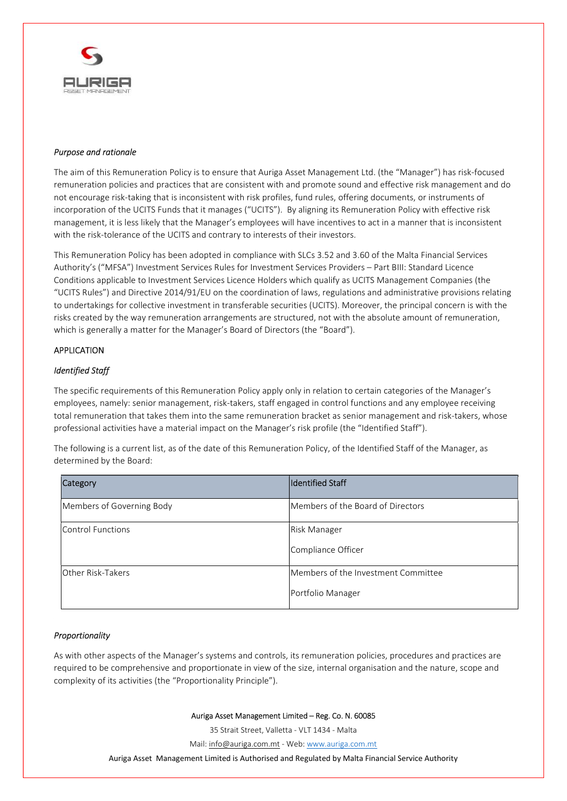

## Purpose and rationale

The aim of this Remuneration Policy is to ensure that Auriga Asset Management Ltd. (the "Manager") has risk-focused remuneration policies and practices that are consistent with and promote sound and effective risk management and do not encourage risk-taking that is inconsistent with risk profiles, fund rules, offering documents, or instruments of incorporation of the UCITS Funds that it manages ("UCITS"). By aligning its Remuneration Policy with effective risk management, it is less likely that the Manager's employees will have incentives to act in a manner that is inconsistent with the risk-tolerance of the UCITS and contrary to interests of their investors.

This Remuneration Policy has been adopted in compliance with SLCs 3.52 and 3.60 of the Malta Financial Services Authority's ("MFSA") Investment Services Rules for Investment Services Providers – Part BIII: Standard Licence Conditions applicable to Investment Services Licence Holders which qualify as UCITS Management Companies (the "UCITS Rules") and Directive 2014/91/EU on the coordination of laws, regulations and administrative provisions relating to undertakings for collective investment in transferable securities (UCITS). Moreover, the principal concern is with the risks created by the way remuneration arrangements are structured, not with the absolute amount of remuneration, which is generally a matter for the Manager's Board of Directors (the "Board").

# APPLICATION

# Identified Staff

The specific requirements of this Remuneration Policy apply only in relation to certain categories of the Manager's employees, namely: senior management, risk-takers, staff engaged in control functions and any employee receiving total remuneration that takes them into the same remuneration bracket as senior management and risk-takers, whose professional activities have a material impact on the Manager's risk profile (the "Identified Staff").

The following is a current list, as of the date of this Remuneration Policy, of the Identified Staff of the Manager, as determined by the Board:

| Category                  | <b>Identified Staff</b>                                  |
|---------------------------|----------------------------------------------------------|
| Members of Governing Body | Members of the Board of Directors                        |
| Control Functions         | Risk Manager<br>Compliance Officer                       |
| Other Risk-Takers         | Members of the Investment Committee<br>Portfolio Manager |

## Proportionality

As with other aspects of the Manager's systems and controls, its remuneration policies, procedures and practices are required to be comprehensive and proportionate in view of the size, internal organisation and the nature, scope and complexity of its activities (the "Proportionality Principle").

Auriga Asset Management Limited – Reg. Co. N. 60085

35 Strait Street, Valletta - VLT 1434 - Malta

Mail: info@auriga.com.mt - Web: www.auriga.com.mt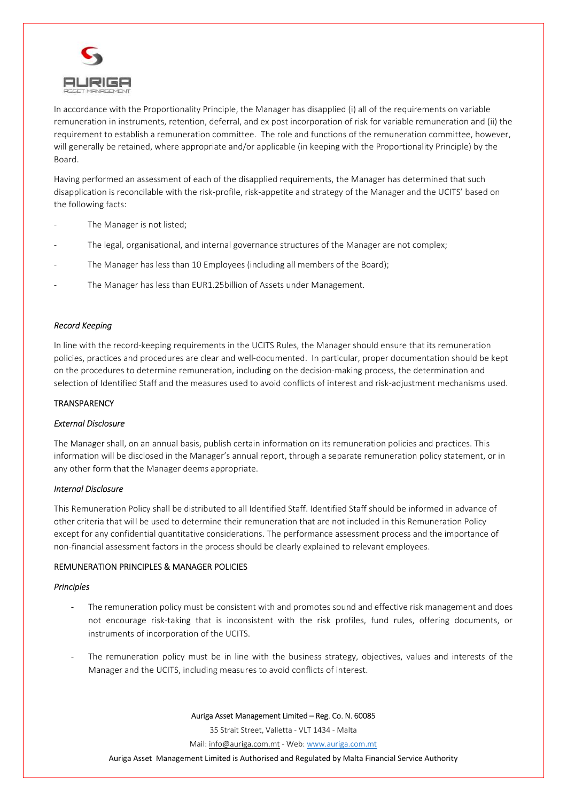

In accordance with the Proportionality Principle, the Manager has disapplied (i) all of the requirements on variable remuneration in instruments, retention, deferral, and ex post incorporation of risk for variable remuneration and (ii) the requirement to establish a remuneration committee. The role and functions of the remuneration committee, however, will generally be retained, where appropriate and/or applicable (in keeping with the Proportionality Principle) by the Board.

Having performed an assessment of each of the disapplied requirements, the Manager has determined that such disapplication is reconcilable with the risk-profile, risk-appetite and strategy of the Manager and the UCITS' based on the following facts:

- The Manager is not listed;
- The legal, organisational, and internal governance structures of the Manager are not complex;
- The Manager has less than 10 Employees (including all members of the Board);
- The Manager has less than EUR1.25billion of Assets under Management.

#### Record Keeping

In line with the record-keeping requirements in the UCITS Rules, the Manager should ensure that its remuneration policies, practices and procedures are clear and well-documented. In particular, proper documentation should be kept on the procedures to determine remuneration, including on the decision-making process, the determination and selection of Identified Staff and the measures used to avoid conflicts of interest and risk-adjustment mechanisms used.

#### **TRANSPARENCY**

#### External Disclosure

The Manager shall, on an annual basis, publish certain information on its remuneration policies and practices. This information will be disclosed in the Manager's annual report, through a separate remuneration policy statement, or in any other form that the Manager deems appropriate.

#### Internal Disclosure

This Remuneration Policy shall be distributed to all Identified Staff. Identified Staff should be informed in advance of other criteria that will be used to determine their remuneration that are not included in this Remuneration Policy except for any confidential quantitative considerations. The performance assessment process and the importance of non-financial assessment factors in the process should be clearly explained to relevant employees.

## REMUNERATION PRINCIPLES & MANAGER POLICIES

#### **Principles**

- The remuneration policy must be consistent with and promotes sound and effective risk management and does not encourage risk-taking that is inconsistent with the risk profiles, fund rules, offering documents, or instruments of incorporation of the UCITS.
- The remuneration policy must be in line with the business strategy, objectives, values and interests of the Manager and the UCITS, including measures to avoid conflicts of interest.

Auriga Asset Management Limited – Reg. Co. N. 60085

35 Strait Street, Valletta - VLT 1434 - Malta

Mail: info@auriga.com.mt - Web: www.auriga.com.mt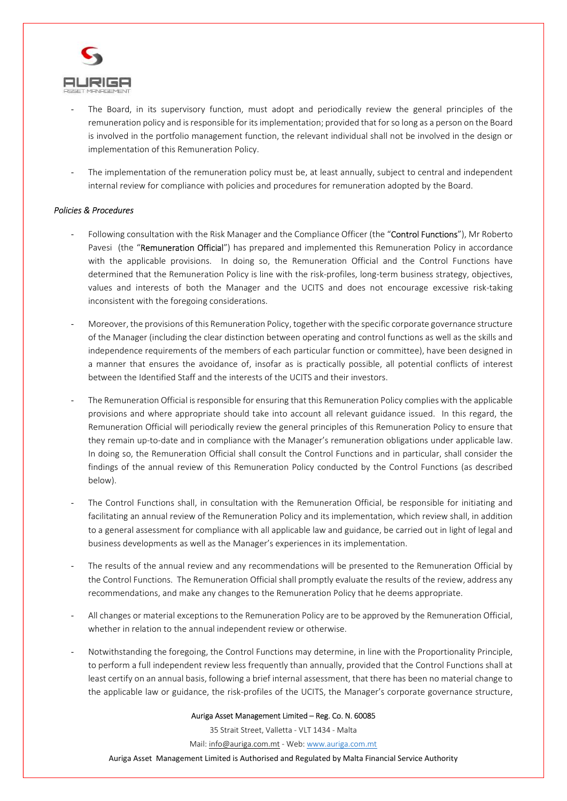

- The Board, in its supervisory function, must adopt and periodically review the general principles of the remuneration policy and is responsible for its implementation; provided that for so long as a person on the Board is involved in the portfolio management function, the relevant individual shall not be involved in the design or implementation of this Remuneration Policy.
- The implementation of the remuneration policy must be, at least annually, subject to central and independent internal review for compliance with policies and procedures for remuneration adopted by the Board.

# Policies & Procedures

- Following consultation with the Risk Manager and the Compliance Officer (the "Control Functions"), Mr Roberto Pavesi (the "Remuneration Official") has prepared and implemented this Remuneration Policy in accordance with the applicable provisions. In doing so, the Remuneration Official and the Control Functions have determined that the Remuneration Policy is line with the risk-profiles, long-term business strategy, objectives, values and interests of both the Manager and the UCITS and does not encourage excessive risk-taking inconsistent with the foregoing considerations.
- Moreover, the provisions of this Remuneration Policy, together with the specific corporate governance structure of the Manager (including the clear distinction between operating and control functions as well as the skills and independence requirements of the members of each particular function or committee), have been designed in a manner that ensures the avoidance of, insofar as is practically possible, all potential conflicts of interest between the Identified Staff and the interests of the UCITS and their investors.
- The Remuneration Official is responsible for ensuring that this Remuneration Policy complies with the applicable provisions and where appropriate should take into account all relevant guidance issued. In this regard, the Remuneration Official will periodically review the general principles of this Remuneration Policy to ensure that they remain up-to-date and in compliance with the Manager's remuneration obligations under applicable law. In doing so, the Remuneration Official shall consult the Control Functions and in particular, shall consider the findings of the annual review of this Remuneration Policy conducted by the Control Functions (as described below).
- The Control Functions shall, in consultation with the Remuneration Official, be responsible for initiating and facilitating an annual review of the Remuneration Policy and its implementation, which review shall, in addition to a general assessment for compliance with all applicable law and guidance, be carried out in light of legal and business developments as well as the Manager's experiences in its implementation.
- The results of the annual review and any recommendations will be presented to the Remuneration Official by the Control Functions. The Remuneration Official shall promptly evaluate the results of the review, address any recommendations, and make any changes to the Remuneration Policy that he deems appropriate.
- All changes or material exceptions to the Remuneration Policy are to be approved by the Remuneration Official, whether in relation to the annual independent review or otherwise.
- Notwithstanding the foregoing, the Control Functions may determine, in line with the Proportionality Principle, to perform a full independent review less frequently than annually, provided that the Control Functions shall at least certify on an annual basis, following a brief internal assessment, that there has been no material change to the applicable law or guidance, the risk-profiles of the UCITS, the Manager's corporate governance structure,

## Auriga Asset Management Limited – Reg. Co. N. 60085

35 Strait Street, Valletta - VLT 1434 - Malta

Mail: info@auriga.com.mt - Web: www.auriga.com.mt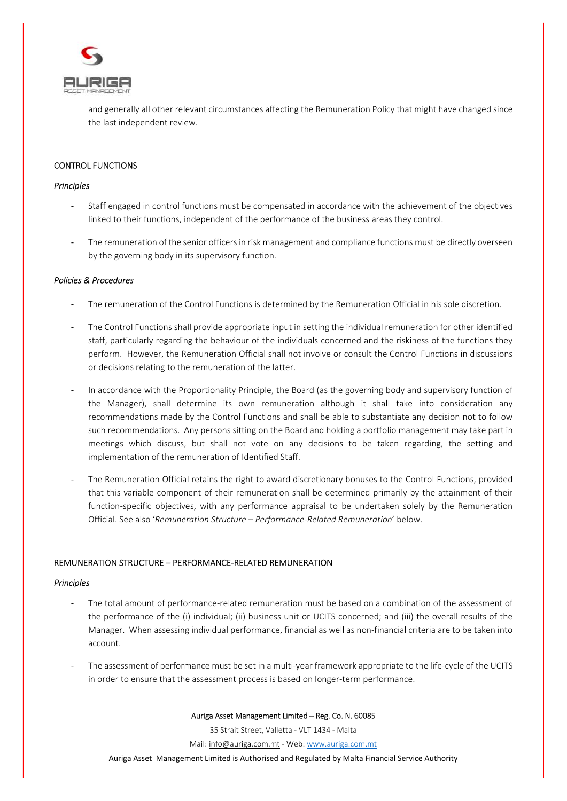

and generally all other relevant circumstances affecting the Remuneration Policy that might have changed since the last independent review.

# CONTROL FUNCTIONS

#### **Principles**

- Staff engaged in control functions must be compensated in accordance with the achievement of the objectives linked to their functions, independent of the performance of the business areas they control.
- The remuneration of the senior officers in risk management and compliance functions must be directly overseen by the governing body in its supervisory function.

## Policies & Procedures

- The remuneration of the Control Functions is determined by the Remuneration Official in his sole discretion.
- The Control Functions shall provide appropriate input in setting the individual remuneration for other identified staff, particularly regarding the behaviour of the individuals concerned and the riskiness of the functions they perform. However, the Remuneration Official shall not involve or consult the Control Functions in discussions or decisions relating to the remuneration of the latter.
- In accordance with the Proportionality Principle, the Board (as the governing body and supervisory function of the Manager), shall determine its own remuneration although it shall take into consideration any recommendations made by the Control Functions and shall be able to substantiate any decision not to follow such recommendations. Any persons sitting on the Board and holding a portfolio management may take part in meetings which discuss, but shall not vote on any decisions to be taken regarding, the setting and implementation of the remuneration of Identified Staff.
- The Remuneration Official retains the right to award discretionary bonuses to the Control Functions, provided that this variable component of their remuneration shall be determined primarily by the attainment of their function-specific objectives, with any performance appraisal to be undertaken solely by the Remuneration Official. See also 'Remuneration Structure – Performance-Related Remuneration' below.

## REMUNERATION STRUCTURE – PERFORMANCE-RELATED REMUNERATION

## Principles

- The total amount of performance-related remuneration must be based on a combination of the assessment of the performance of the (i) individual; (ii) business unit or UCITS concerned; and (iii) the overall results of the Manager. When assessing individual performance, financial as well as non-financial criteria are to be taken into account.
- The assessment of performance must be set in a multi-year framework appropriate to the life-cycle of the UCITS in order to ensure that the assessment process is based on longer-term performance.

## Auriga Asset Management Limited – Reg. Co. N. 60085

35 Strait Street, Valletta - VLT 1434 - Malta

Mail: info@auriga.com.mt - Web: www.auriga.com.mt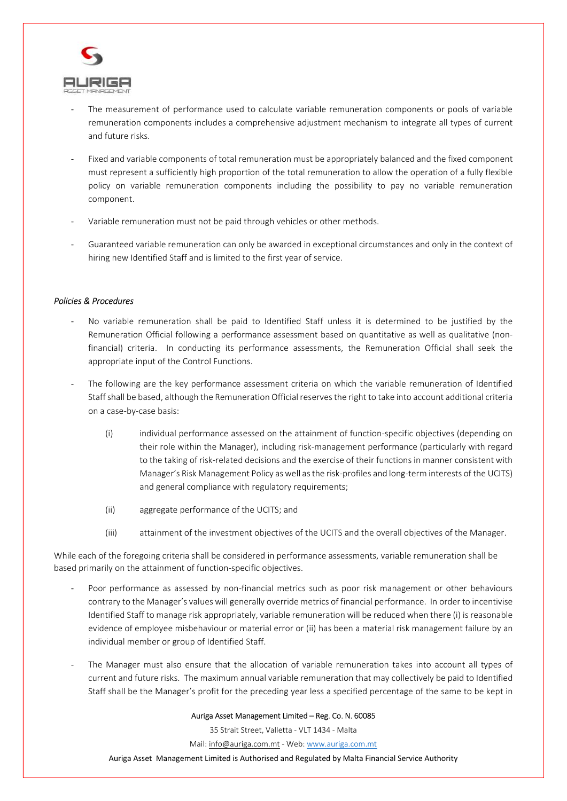

- The measurement of performance used to calculate variable remuneration components or pools of variable remuneration components includes a comprehensive adjustment mechanism to integrate all types of current and future risks.
- Fixed and variable components of total remuneration must be appropriately balanced and the fixed component must represent a sufficiently high proportion of the total remuneration to allow the operation of a fully flexible policy on variable remuneration components including the possibility to pay no variable remuneration component.
- Variable remuneration must not be paid through vehicles or other methods.
- Guaranteed variable remuneration can only be awarded in exceptional circumstances and only in the context of hiring new Identified Staff and is limited to the first year of service.

## Policies & Procedures

- No variable remuneration shall be paid to Identified Staff unless it is determined to be justified by the Remuneration Official following a performance assessment based on quantitative as well as qualitative (nonfinancial) criteria. In conducting its performance assessments, the Remuneration Official shall seek the appropriate input of the Control Functions.
- The following are the key performance assessment criteria on which the variable remuneration of Identified Staff shall be based, although the Remuneration Official reserves the right to take into account additional criteria on a case-by-case basis:
	- (i) individual performance assessed on the attainment of function-specific objectives (depending on their role within the Manager), including risk-management performance (particularly with regard to the taking of risk-related decisions and the exercise of their functions in manner consistent with Manager's Risk Management Policy as well as the risk-profiles and long-term interests of the UCITS) and general compliance with regulatory requirements;
	- (ii) aggregate performance of the UCITS; and
	- (iii) attainment of the investment objectives of the UCITS and the overall objectives of the Manager.

While each of the foregoing criteria shall be considered in performance assessments, variable remuneration shall be based primarily on the attainment of function-specific objectives.

- Poor performance as assessed by non-financial metrics such as poor risk management or other behaviours contrary to the Manager's values will generally override metrics of financial performance. In order to incentivise Identified Staff to manage risk appropriately, variable remuneration will be reduced when there (i) is reasonable evidence of employee misbehaviour or material error or (ii) has been a material risk management failure by an individual member or group of Identified Staff.
- The Manager must also ensure that the allocation of variable remuneration takes into account all types of current and future risks. The maximum annual variable remuneration that may collectively be paid to Identified Staff shall be the Manager's profit for the preceding year less a specified percentage of the same to be kept in

## Auriga Asset Management Limited – Reg. Co. N. 60085

35 Strait Street, Valletta - VLT 1434 - Malta

Mail: info@auriga.com.mt - Web: www.auriga.com.mt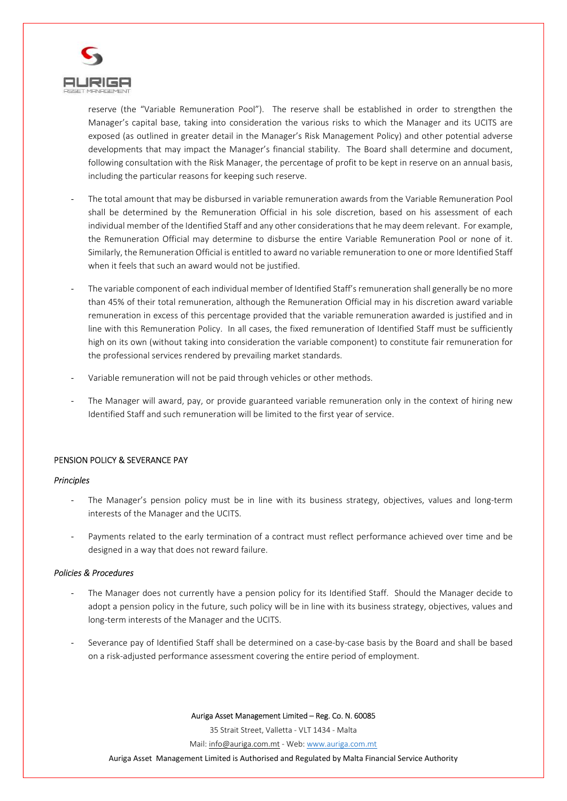

reserve (the "Variable Remuneration Pool"). The reserve shall be established in order to strengthen the Manager's capital base, taking into consideration the various risks to which the Manager and its UCITS are exposed (as outlined in greater detail in the Manager's Risk Management Policy) and other potential adverse developments that may impact the Manager's financial stability. The Board shall determine and document, following consultation with the Risk Manager, the percentage of profit to be kept in reserve on an annual basis, including the particular reasons for keeping such reserve.

- The total amount that may be disbursed in variable remuneration awards from the Variable Remuneration Pool shall be determined by the Remuneration Official in his sole discretion, based on his assessment of each individual member of the Identified Staff and any other considerations that he may deem relevant. For example, the Remuneration Official may determine to disburse the entire Variable Remuneration Pool or none of it. Similarly, the Remuneration Official is entitled to award no variable remuneration to one or more Identified Staff when it feels that such an award would not be justified.
- The variable component of each individual member of Identified Staff's remuneration shall generally be no more than 45% of their total remuneration, although the Remuneration Official may in his discretion award variable remuneration in excess of this percentage provided that the variable remuneration awarded is justified and in line with this Remuneration Policy. In all cases, the fixed remuneration of Identified Staff must be sufficiently high on its own (without taking into consideration the variable component) to constitute fair remuneration for the professional services rendered by prevailing market standards.
- Variable remuneration will not be paid through vehicles or other methods.
- The Manager will award, pay, or provide guaranteed variable remuneration only in the context of hiring new Identified Staff and such remuneration will be limited to the first year of service.

## PENSION POLICY & SEVERANCE PAY

## **Principles**

- The Manager's pension policy must be in line with its business strategy, objectives, values and long-term interests of the Manager and the UCITS.
- Payments related to the early termination of a contract must reflect performance achieved over time and be designed in a way that does not reward failure.

## Policies & Procedures

- The Manager does not currently have a pension policy for its Identified Staff. Should the Manager decide to adopt a pension policy in the future, such policy will be in line with its business strategy, objectives, values and long-term interests of the Manager and the UCITS.
- Severance pay of Identified Staff shall be determined on a case-by-case basis by the Board and shall be based on a risk-adjusted performance assessment covering the entire period of employment.

Auriga Asset Management Limited – Reg. Co. N. 60085

35 Strait Street, Valletta - VLT 1434 - Malta

Mail: info@auriga.com.mt - Web: www.auriga.com.mt